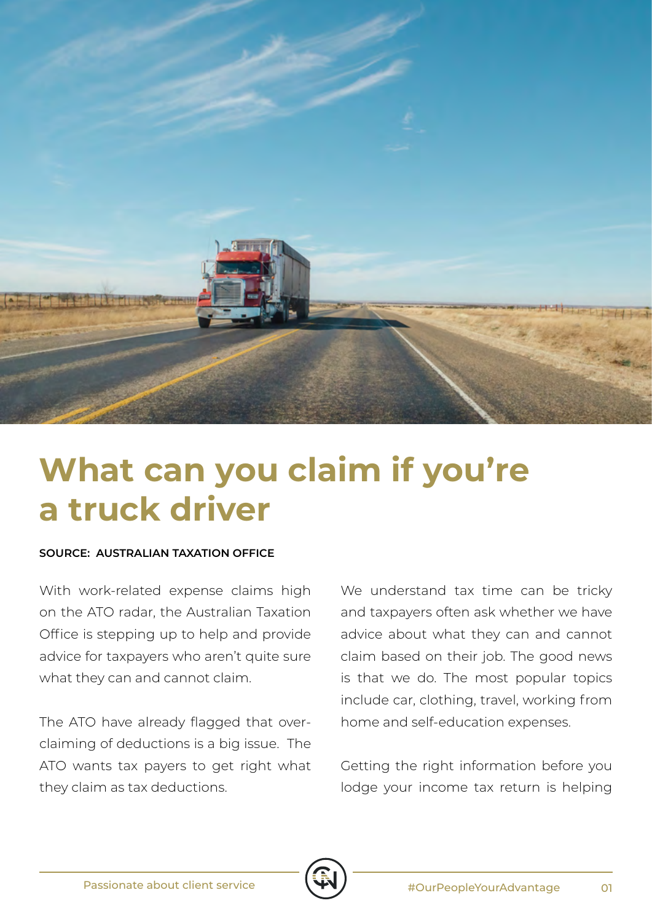

## **What can you claim if you're a truck driver**

## **SOURCE: AUSTRALIAN TAXATION OFFICE**

With work-related expense claims high on the ATO radar, the Australian Taxation Office is stepping up to help and provide advice for taxpayers who aren't quite sure what they can and cannot claim.

The ATO have already flagged that overclaiming of deductions is a big issue. The ATO wants tax payers to get right what they claim as tax deductions.

We understand tax time can be tricky and taxpayers often ask whether we have advice about what they can and cannot claim based on their job. The good news is that we do. The most popular topics include car, clothing, travel, working from home and self-education expenses.

Getting the right information before you lodge your income tax return is helping